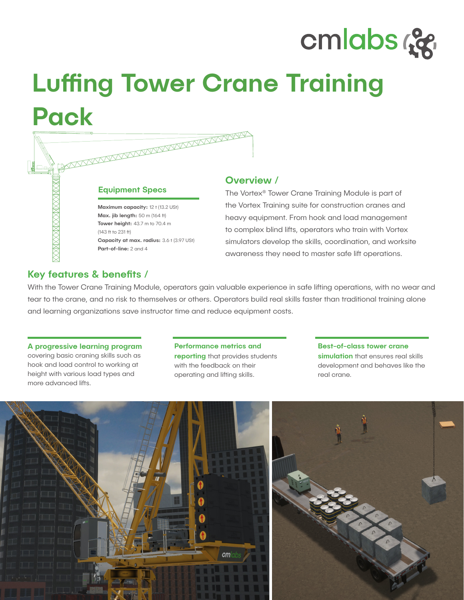# cmlabs ce

# Luffing Tower Crane Training Pack

|  |                                           | Ove           |
|--|-------------------------------------------|---------------|
|  | <b>Equipment Specs</b>                    | The $\lambda$ |
|  | Maximum capacity: 12 t (13.2 USt)         | the V         |
|  | Max. jib length: 50 m (164 ft)            | heav          |
|  | Tower height: 43.7 m to 70.4 m            |               |
|  | (143 ft to 231 ft)                        | to co         |
|  | Capacity at max. radius: 3.6 t (3.97 USt) | simul         |
|  | Part-of-line: 2 and 4                     |               |
|  |                                           | awar          |

### erview /

Vortex® Tower Crane Training Module is part of ortex Training suite for construction cranes and y equipment. From hook and load management mplex blind lifts, operators who train with Vortex ators develop the skills, coordination, and worksite awareness they need to master safe lift operations.

# Key features & benefits /

With the Tower Crane Training Module, operators gain valuable experience in safe lifting operations, with no wear and tear to the crane, and no risk to themselves or others. Operators build real skills faster than traditional training alone and learning organizations save instructor time and reduce equipment costs.

#### A progressive learning program

covering basic craning skills such as hook and load control to working at height with various load types and more advanced lifts.

#### Performance metrics and

**reporting** that provides students with the feedback on their operating and lifting skills.

Best-of-class tower crane simulation that ensures real skills development and behaves like the real crane.